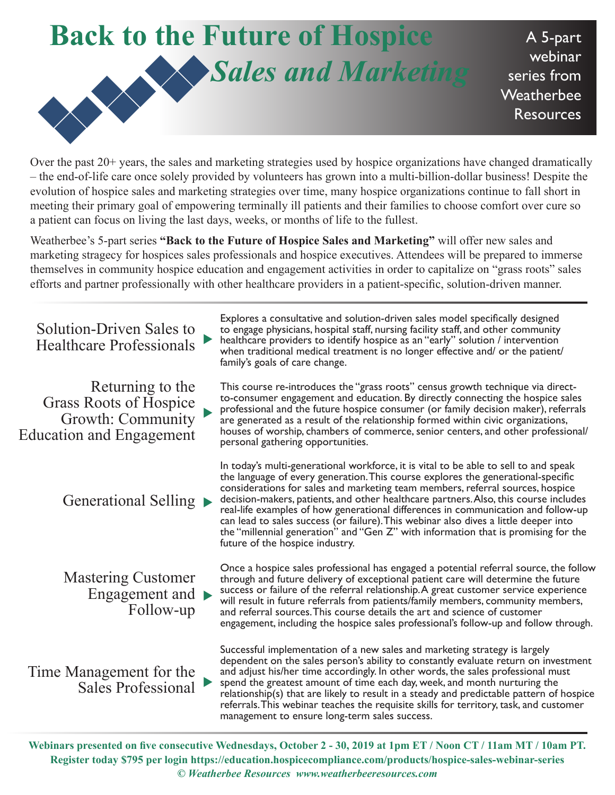## **Back to the Future of Hospice**  *Sales and Marketing*

A 5-part webinar series from **Weatherbee** Resources

Over the past 20+ years, the sales and marketing strategies used by hospice organizations have changed dramatically – the end-of-life care once solely provided by volunteers has grown into a multi-billion-dollar business! Despite the evolution of hospice sales and marketing strategies over time, many hospice organizations continue to fall short in meeting their primary goal of empowering terminally ill patients and their families to choose comfort over cure so a patient can focus on living the last days, weeks, or months of life to the fullest.

Weatherbee's 5-part series **"Back to the Future of Hospice Sales and Marketing"** will offer new sales and marketing stragecy for hospices sales professionals and hospice executives. Attendees will be prepared to immerse themselves in community hospice education and engagement activities in order to capitalize on "grass roots" sales efforts and partner professionally with other healthcare providers in a patient-specific, solution-driven manner.

Explores a consultative and solution-driven sales model specifically designed to engage physicians, hospital staff, nursing facility staff, and other community healthcare providers to identify hospice as an "early" solution / intervention when traditional medical treatment is no longer effective and/ or the patient/ family's goals of care change. Solution-Driven Sales to Healthcare Professionals This course re-introduces the "grass roots" census growth technique via directto-consumer engagement and education. By directly connecting the hospice sales professional and the future hospice consumer (or family decision maker), referrals are generated as a result of the relationship formed within civic organizations, houses of worship, chambers of commerce, senior centers, and other professional/ personal gathering opportunities. Returning to the Grass Roots of Hospice Growth: Community Education and Engagement In today's multi-generational workforce, it is vital to be able to sell to and speak the language of every generation. This course explores the generational-specific considerations for sales and marketing team members, referral sources, hospice decision-makers, patients, and other healthcare partners. Also, this course includes real-life examples of how generational differences in communication and follow-up can lead to sales success (or failure). This webinar also dives a little deeper into the "millennial generation" and "Gen Z" with information that is promising for the future of the hospice industry. Generational Selling  $\blacktriangleright$ Once a hospice sales professional has engaged a potential referral source, the follow through and future delivery of exceptional patient care will determine the future success or failure of the referral relationship. A great customer service experience will result in future referrals from patients/family members, community members, and referral sources. This course details the art and science of customer engagement, including the hospice sales professional's follow-up and follow through. Mastering Customer Engagement and  $\blacktriangleright$ Follow-up Successful implementation of a new sales and marketing strategy is largely dependent on the sales person's ability to constantly evaluate return on investment and adjust his/her time accordingly. In other words, the sales professional must spend the greatest amount of time each day, week, and month nurturing the relationship(s) that are likely to result in a steady and predictable pattern of hospice referrals. This webinar teaches the requisite skills for territory, task, and customer management to ensure long-term sales success. Time Management for the Sales Professional  $\blacktriangleright$  $\blacktriangleright$  $\blacktriangleright$ 

**Webinars presented on five consecutive Wednesdays, October 2 - 30, 2019 at 1pm ET / Noon CT / 11am MT / 10am PT. Register today \$795 per login https://education.hospicecompliance.com/products/hospice-sales-webinar-series** *© Weatherbee Resources www.weatherbeeresources.com*